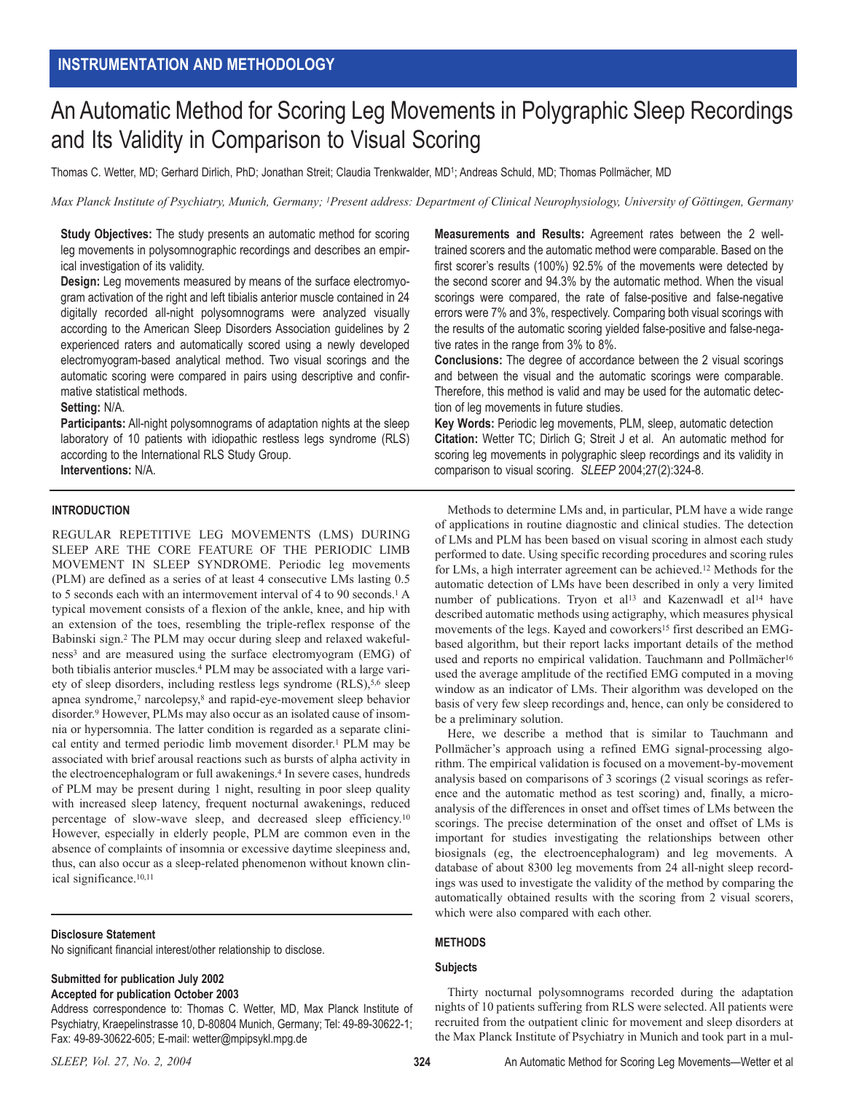# An Automatic Method for Scoring Leg Movements in Polygraphic Sleep Recordings and Its Validity in Comparison to Visual Scoring

Thomas C. Wetter, MD; Gerhard Dirlich, PhD; Jonathan Streit; Claudia Trenkwalder, MD1; Andreas Schuld, MD; Thomas Pollmächer, MD

*Max Planck Institute of Psychiatry, Munich, Germany; 1Present address: Department of Clinical Neurophysiology, University of Göttingen, Germany*

**Study Objectives:** The study presents an automatic method for scoring leg movements in polysomnographic recordings and describes an empirical investigation of its validity.

**Design:** Leg movements measured by means of the surface electromyogram activation of the right and left tibialis anterior muscle contained in 24 digitally recorded all-night polysomnograms were analyzed visually according to the American Sleep Disorders Association guidelines by 2 experienced raters and automatically scored using a newly developed electromyogram-based analytical method. Two visual scorings and the automatic scoring were compared in pairs using descriptive and confirmative statistical methods.

#### **Setting:** N/A.

**Participants:** All-night polysomnograms of adaptation nights at the sleep laboratory of 10 patients with idiopathic restless legs syndrome (RLS) according to the International RLS Study Group.

**Interventions:** N/A.

#### **INTRODUCTION**

REGULAR REPETITIVE LEG MOVEMENTS (LMS) DURING SLEEP ARE THE CORE FEATURE OF THE PERIODIC LIMB MOVEMENT IN SLEEP SYNDROME. Periodic leg movements (PLM) are defined as a series of at least 4 consecutive LMs lasting 0.5 to 5 seconds each with an intermovement interval of 4 to 90 seconds.<sup>1</sup> A typical movement consists of a flexion of the ankle, knee, and hip with an extension of the toes, resembling the triple-reflex response of the Babinski sign.2 The PLM may occur during sleep and relaxed wakefulness3 and are measured using the surface electromyogram (EMG) of both tibialis anterior muscles.4 PLM may be associated with a large variety of sleep disorders, including restless legs syndrome (RLS),<sup>5,6</sup> sleep apnea syndrome,7 narcolepsy,8 and rapid-eye-movement sleep behavior disorder.9 However, PLMs may also occur as an isolated cause of insomnia or hypersomnia. The latter condition is regarded as a separate clinical entity and termed periodic limb movement disorder.1 PLM may be associated with brief arousal reactions such as bursts of alpha activity in the electroencephalogram or full awakenings.<sup>4</sup> In severe cases, hundreds of PLM may be present during 1 night, resulting in poor sleep quality with increased sleep latency, frequent nocturnal awakenings, reduced percentage of slow-wave sleep, and decreased sleep efficiency.10 However, especially in elderly people, PLM are common even in the absence of complaints of insomnia or excessive daytime sleepiness and, thus, can also occur as a sleep-related phenomenon without known clinical significance.10,11

#### **Disclosure Statement**

No significant financial interest/other relationship to disclose.

# **Submitted for publication July 2002**

**Accepted for publication October 2003**

Address correspondence to: Thomas C. Wetter, MD, Max Planck Institute of Psychiatry, Kraepelinstrasse 10, D-80804 Munich, Germany; Tel: 49-89-30622-1; Fax: 49-89-30622-605; E-mail: wetter@mpipsykl.mpg.de

**Measurements and Results:** Agreement rates between the 2 welltrained scorers and the automatic method were comparable. Based on the first scorer's results (100%) 92.5% of the movements were detected by the second scorer and 94.3% by the automatic method. When the visual scorings were compared, the rate of false-positive and false-negative errors were 7% and 3%, respectively. Comparing both visual scorings with the results of the automatic scoring yielded false-positive and false-negative rates in the range from 3% to 8%.

**Conclusions:** The degree of accordance between the 2 visual scorings and between the visual and the automatic scorings were comparable. Therefore, this method is valid and may be used for the automatic detection of leg movements in future studies.

**Key Words:** Periodic leg movements, PLM, sleep, automatic detection **Citation:** Wetter TC; Dirlich G; Streit J et al. An automatic method for scoring leg movements in polygraphic sleep recordings and its validity in comparison to visual scoring. *SLEEP* 2004;27(2):324-8.

Methods to determine LMs and, in particular, PLM have a wide range of applications in routine diagnostic and clinical studies. The detection of LMs and PLM has been based on visual scoring in almost each study performed to date. Using specific recording procedures and scoring rules for LMs, a high interrater agreement can be achieved.12 Methods for the automatic detection of LMs have been described in only a very limited number of publications. Tryon et al<sup>13</sup> and Kazenwadl et al<sup>14</sup> have described automatic methods using actigraphy, which measures physical movements of the legs. Kayed and coworkers<sup>15</sup> first described an EMGbased algorithm, but their report lacks important details of the method used and reports no empirical validation. Tauchmann and Pollmächer<sup>16</sup> used the average amplitude of the rectified EMG computed in a moving window as an indicator of LMs. Their algorithm was developed on the basis of very few sleep recordings and, hence, can only be considered to be a preliminary solution.

Here, we describe a method that is similar to Tauchmann and Pollmächer's approach using a refined EMG signal-processing algorithm. The empirical validation is focused on a movement-by-movement analysis based on comparisons of 3 scorings (2 visual scorings as reference and the automatic method as test scoring) and, finally, a microanalysis of the differences in onset and offset times of LMs between the scorings. The precise determination of the onset and offset of LMs is important for studies investigating the relationships between other biosignals (eg, the electroencephalogram) and leg movements. A database of about 8300 leg movements from 24 all-night sleep recordings was used to investigate the validity of the method by comparing the automatically obtained results with the scoring from 2 visual scorers, which were also compared with each other.

# **METHODS**

#### **Subjects**

Thirty nocturnal polysomnograms recorded during the adaptation nights of 10 patients suffering from RLS were selected. All patients were recruited from the outpatient clinic for movement and sleep disorders at the Max Planck Institute of Psychiatry in Munich and took part in a mul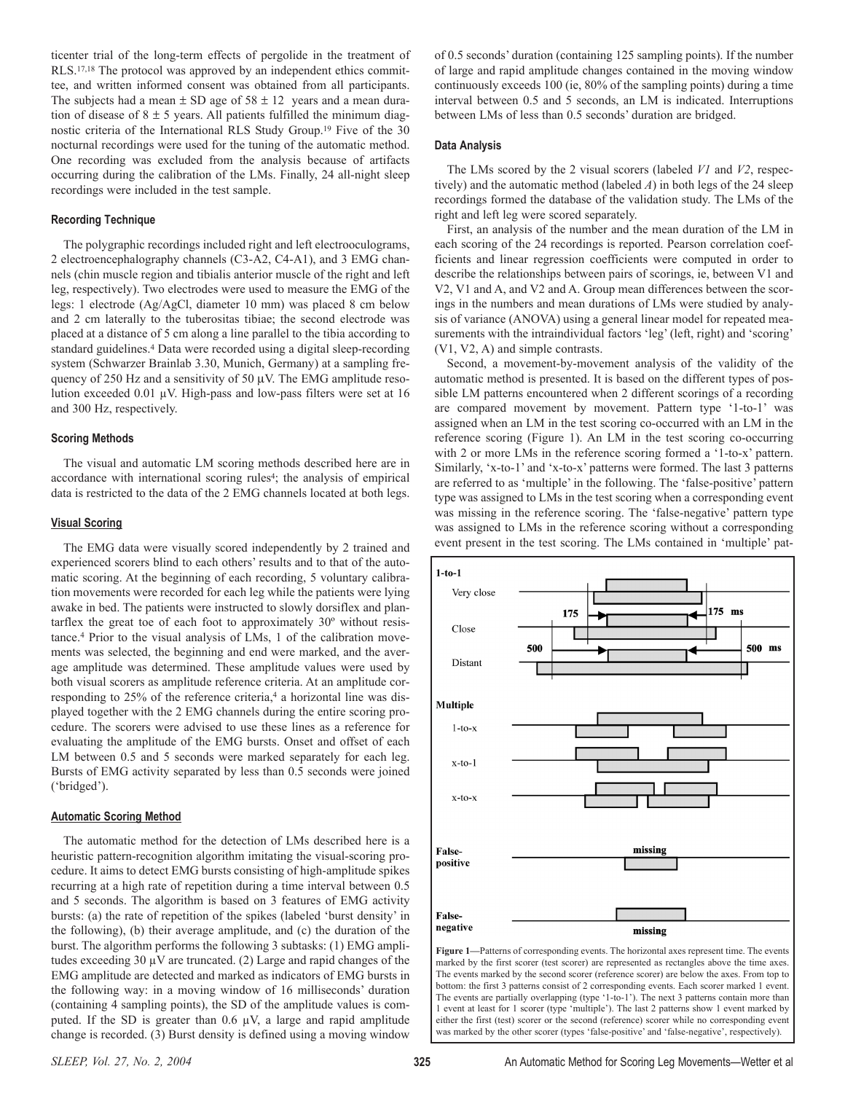ticenter trial of the long-term effects of pergolide in the treatment of RLS.17,18 The protocol was approved by an independent ethics committee, and written informed consent was obtained from all participants. The subjects had a mean  $\pm$  SD age of 58  $\pm$  12 years and a mean duration of disease of  $8 \pm 5$  years. All patients fulfilled the minimum diagnostic criteria of the International RLS Study Group.19 Five of the 30 nocturnal recordings were used for the tuning of the automatic method. One recording was excluded from the analysis because of artifacts occurring during the calibration of the LMs. Finally, 24 all-night sleep recordings were included in the test sample.

## **Recording Technique**

The polygraphic recordings included right and left electrooculograms, 2 electroencephalography channels (C3-A2, C4-A1), and 3 EMG channels (chin muscle region and tibialis anterior muscle of the right and left leg, respectively). Two electrodes were used to measure the EMG of the legs: 1 electrode (Ag/AgCl, diameter 10 mm) was placed 8 cm below and 2 cm laterally to the tuberositas tibiae; the second electrode was placed at a distance of 5 cm along a line parallel to the tibia according to standard guidelines.4 Data were recorded using a digital sleep-recording system (Schwarzer Brainlab 3.30, Munich, Germany) at a sampling frequency of 250 Hz and a sensitivity of 50 µV. The EMG amplitude resolution exceeded 0.01 µV. High-pass and low-pass filters were set at 16 and 300 Hz, respectively.

## **Scoring Methods**

The visual and automatic LM scoring methods described here are in accordance with international scoring rules4; the analysis of empirical data is restricted to the data of the 2 EMG channels located at both legs.

#### **Visual Scoring**

The EMG data were visually scored independently by 2 trained and experienced scorers blind to each others' results and to that of the automatic scoring. At the beginning of each recording, 5 voluntary calibration movements were recorded for each leg while the patients were lying awake in bed. The patients were instructed to slowly dorsiflex and plantarflex the great toe of each foot to approximately 30º without resistance.4 Prior to the visual analysis of LMs, 1 of the calibration movements was selected, the beginning and end were marked, and the average amplitude was determined. These amplitude values were used by both visual scorers as amplitude reference criteria. At an amplitude corresponding to 25% of the reference criteria,<sup>4</sup> a horizontal line was displayed together with the 2 EMG channels during the entire scoring procedure. The scorers were advised to use these lines as a reference for evaluating the amplitude of the EMG bursts. Onset and offset of each LM between 0.5 and 5 seconds were marked separately for each leg. Bursts of EMG activity separated by less than 0.5 seconds were joined ('bridged').

#### **Automatic Scoring Method**

The automatic method for the detection of LMs described here is a heuristic pattern-recognition algorithm imitating the visual-scoring procedure. It aims to detect EMG bursts consisting of high-amplitude spikes recurring at a high rate of repetition during a time interval between 0.5 and 5 seconds. The algorithm is based on 3 features of EMG activity bursts: (a) the rate of repetition of the spikes (labeled 'burst density' in the following), (b) their average amplitude, and (c) the duration of the burst. The algorithm performs the following 3 subtasks: (1) EMG amplitudes exceeding  $30 \mu V$  are truncated. (2) Large and rapid changes of the EMG amplitude are detected and marked as indicators of EMG bursts in the following way: in a moving window of 16 milliseconds' duration (containing 4 sampling points), the SD of the amplitude values is computed. If the SD is greater than  $0.6 \mu V$ , a large and rapid amplitude change is recorded. (3) Burst density is defined using a moving window

of 0.5 seconds' duration (containing 125 sampling points). If the number of large and rapid amplitude changes contained in the moving window continuously exceeds 100 (ie, 80% of the sampling points) during a time interval between 0.5 and 5 seconds, an LM is indicated. Interruptions between LMs of less than 0.5 seconds' duration are bridged.

## **Data Analysis**

The LMs scored by the 2 visual scorers (labeled *V1* and *V2*, respectively) and the automatic method (labeled *A*) in both legs of the 24 sleep recordings formed the database of the validation study. The LMs of the right and left leg were scored separately.

First, an analysis of the number and the mean duration of the LM in each scoring of the 24 recordings is reported. Pearson correlation coefficients and linear regression coefficients were computed in order to describe the relationships between pairs of scorings, ie, between V1 and V2, V1 and A, and V2 and A. Group mean differences between the scorings in the numbers and mean durations of LMs were studied by analysis of variance (ANOVA) using a general linear model for repeated measurements with the intraindividual factors 'leg' (left, right) and 'scoring' (V1, V2, A) and simple contrasts.

Second, a movement-by-movement analysis of the validity of the automatic method is presented. It is based on the different types of possible LM patterns encountered when 2 different scorings of a recording are compared movement by movement. Pattern type '1-to-1' was assigned when an LM in the test scoring co-occurred with an LM in the reference scoring (Figure 1). An LM in the test scoring co-occurring with 2 or more LMs in the reference scoring formed a '1-to-x' pattern. Similarly, 'x-to-1' and 'x-to-x' patterns were formed. The last 3 patterns are referred to as 'multiple' in the following. The 'false-positive' pattern type was assigned to LMs in the test scoring when a corresponding event was missing in the reference scoring. The 'false-negative' pattern type was assigned to LMs in the reference scoring without a corresponding event present in the test scoring. The LMs contained in 'multiple' pat-



**Figure 1—**Patterns of corresponding events. The horizontal axes represent time. The events marked by the first scorer (test scorer) are represented as rectangles above the time axes. The events marked by the second scorer (reference scorer) are below the axes. From top to bottom: the first 3 patterns consist of 2 corresponding events. Each scorer marked 1 event. The events are partially overlapping (type '1-to-1'). The next 3 patterns contain more than 1 event at least for 1 scorer (type 'multiple'). The last 2 patterns show 1 event marked by either the first (test) scorer or the second (reference) scorer while no corresponding event was marked by the other scorer (types 'false-positive' and 'false-negative', respectively).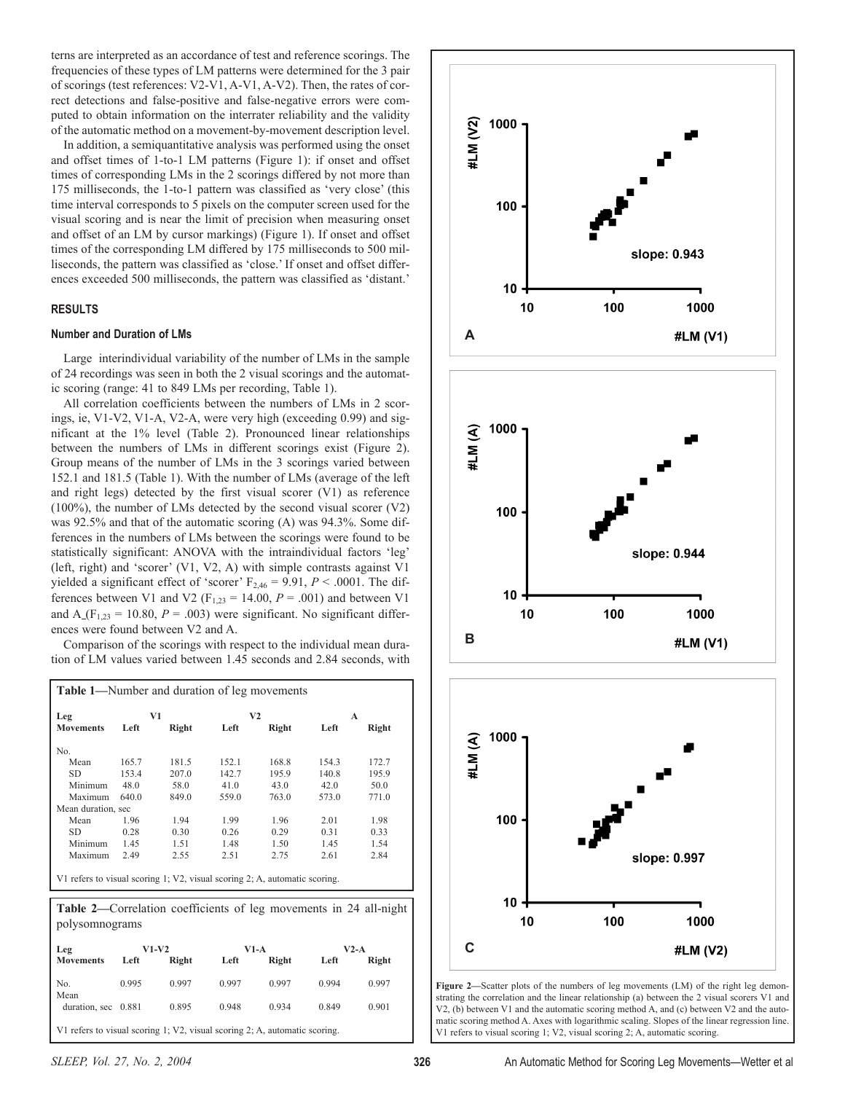terns are interpreted as an accordance of test and reference scorings. The frequencies of these types of LM patterns were determined for the 3 pair of scorings (test references: V2-V1, A-V1, A-V2). Then, the rates of correct detections and false-positive and false-negative errors were computed to obtain information on the interrater reliability and the validity of the automatic method on a movement-by-movement description level.

In addition, a semiquantitative analysis was performed using the onset and offset times of 1-to-1 LM patterns (Figure 1): if onset and offset times of corresponding LMs in the 2 scorings differed by not more than 175 milliseconds, the 1-to-1 pattern was classified as 'very close' (this time interval corresponds to 5 pixels on the computer screen used for the visual scoring and is near the limit of precision when measuring onset and offset of an LM by cursor markings) (Figure 1). If onset and offset times of the corresponding LM differed by 175 milliseconds to 500 milliseconds, the pattern was classified as 'close.' If onset and offset differences exceeded 500 milliseconds, the pattern was classified as 'distant.'

# **RESULTS**

# **Number and Duration of LMs**

Large interindividual variability of the number of LMs in the sample of 24 recordings was seen in both the 2 visual scorings and the automatic scoring (range: 41 to 849 LMs per recording, Table 1).

All correlation coefficients between the numbers of LMs in 2 scorings, ie, V1-V2, V1-A, V2-A, were very high (exceeding 0.99) and significant at the 1% level (Table 2). Pronounced linear relationships between the numbers of LMs in different scorings exist (Figure 2). Group means of the number of LMs in the 3 scorings varied between 152.1 and 181.5 (Table 1). With the number of LMs (average of the left and right legs) detected by the first visual scorer (V1) as reference (100%), the number of LMs detected by the second visual scorer (V2) was 92.5% and that of the automatic scoring (A) was 94.3%. Some differences in the numbers of LMs between the scorings were found to be statistically significant: ANOVA with the intraindividual factors 'leg' (left, right) and 'scorer' (V1, V2, A) with simple contrasts against V1 yielded a significant effect of 'scorer'  $F_{2,46} = 9.91$ ,  $P < .0001$ . The differences between V1 and V2 ( $F_{1,23} = 14.00$ ,  $P = .001$ ) and between V1 and  $A_{(F_{1,23})} = 10.80$ ,  $P = .003$ ) were significant. No significant differences were found between V2 and A.

Comparison of the scorings with respect to the individual mean duration of LM values varied between 1.45 seconds and 2.84 seconds, with

| <b>Table 1—Number and duration of leg movements</b>                        |       |       |                |       |       |       |  |
|----------------------------------------------------------------------------|-------|-------|----------------|-------|-------|-------|--|
| Leg                                                                        | V1    |       | V <sub>2</sub> |       | A     |       |  |
| <b>Movements</b>                                                           | Left  | Right | Left           | Right | Left  | Right |  |
| No.                                                                        |       |       |                |       |       |       |  |
| Mean                                                                       | 165.7 | 181.5 | 152.1          | 168.8 | 154.3 | 172.7 |  |
| SD.                                                                        | 153.4 | 207.0 | 142.7          | 195.9 | 140.8 | 195.9 |  |
| Minimum                                                                    | 48.0  | 58.0  | 41.0           | 43.0  | 42.0  | 50.0  |  |
| Maximum                                                                    | 640.0 | 849.0 | 559.0          | 763.0 | 573.0 | 771.0 |  |
| Mean duration, sec                                                         |       |       |                |       |       |       |  |
| Mean                                                                       | 1.96  | 1.94  | 1.99           | 1.96  | 2.01  | 1.98  |  |
| SD.                                                                        | 0.28  | 0.30  | 0.26           | 0.29  | 0.31  | 0.33  |  |
| Minimum                                                                    | 1.45  | 1.51  | 1.48           | 1.50  | 1.45  | 1.54  |  |
| Maximum                                                                    | 2.49  | 2.55  | 2.51           | 2.75  | 2.61  | 2.84  |  |
| V1 refers to visual scoring 1; V2, visual scoring 2; A, automatic scoring. |       |       |                |       |       |       |  |

**Table 2—**Correlation coefficients of leg movements in 24 all-night polysomnograms

| Leg                 | $V1-V2$ |       | V1-A  |       | $V2-A$ |       |
|---------------------|---------|-------|-------|-------|--------|-------|
| <b>Movements</b>    | Left    | Right | Left  | Right | Left   | Right |
| No.<br>Mean         | 0.995   | 0.997 | 0.997 | 0.997 | 0.994  | 0.997 |
| duration, sec 0.881 |         | 0.895 | 0.948 | 0.934 | 0.849  | 0.901 |



Figure 2-Scatter plots of the numbers of leg movements (LM) of the right leg demonstrating the correlation and the linear relationship (a) between the 2 visual scorers V1 and V2, (b) between V1 and the automatic scoring method A, and (c) between V2 and the automatic scoring method A. Axes with logarithmic scaling. Slopes of the linear regression line. V1 refers to visual scoring 1; V2, visual scoring 2; A, automatic scoring.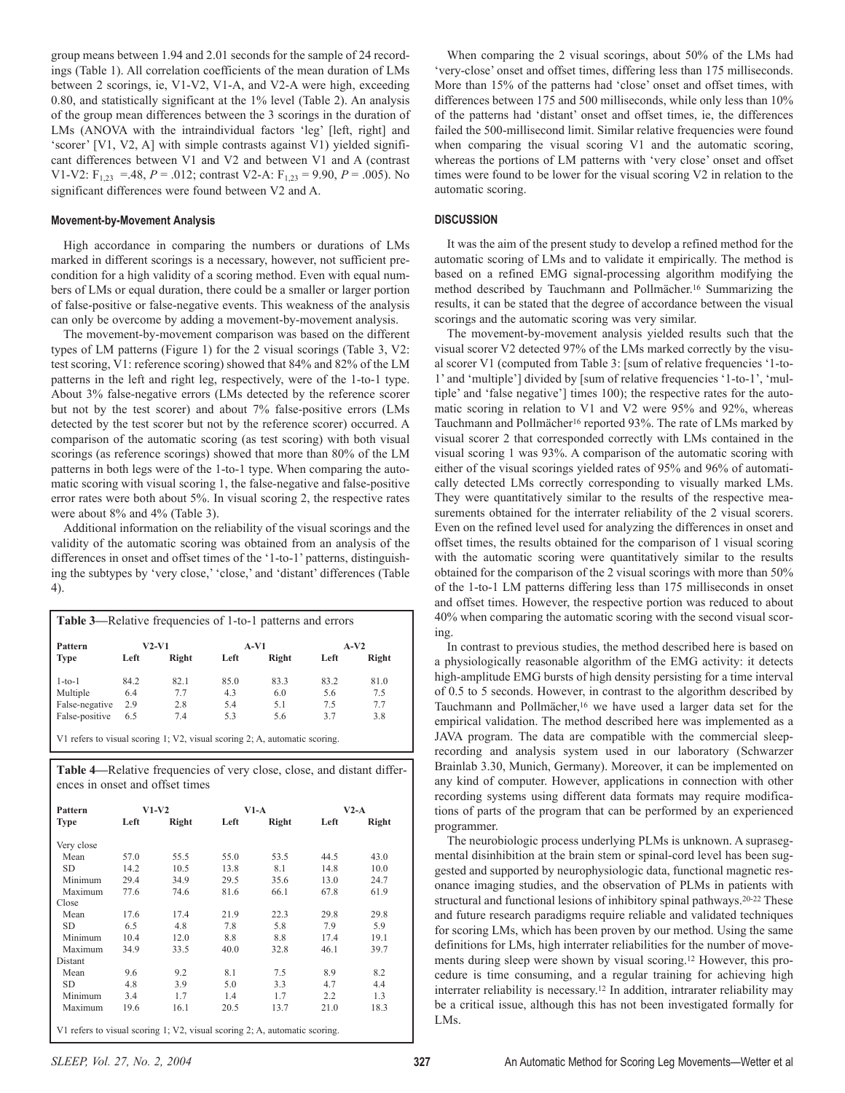group means between 1.94 and 2.01 seconds for the sample of 24 recordings (Table 1). All correlation coefficients of the mean duration of LMs between 2 scorings, ie, V1-V2, V1-A, and V2-A were high, exceeding 0.80, and statistically significant at the 1% level (Table 2). An analysis of the group mean differences between the 3 scorings in the duration of LMs (ANOVA with the intraindividual factors 'leg' [left, right] and 'scorer' [V1, V2, A] with simple contrasts against V1) yielded significant differences between V1 and V2 and between V1 and A (contrast V1-V2:  $F_{1,23} = .48$ ,  $P = .012$ ; contrast V2-A:  $F_{1,23} = 9.90$ ,  $P = .005$ ). No significant differences were found between V2 and A.

#### **Movement-by-Movement Analysis**

High accordance in comparing the numbers or durations of LMs marked in different scorings is a necessary, however, not sufficient precondition for a high validity of a scoring method. Even with equal numbers of LMs or equal duration, there could be a smaller or larger portion of false-positive or false-negative events. This weakness of the analysis can only be overcome by adding a movement-by-movement analysis.

The movement-by-movement comparison was based on the different types of LM patterns (Figure 1) for the 2 visual scorings (Table 3, V2: test scoring, V1: reference scoring) showed that 84% and 82% of the LM patterns in the left and right leg, respectively, were of the 1-to-1 type. About 3% false-negative errors (LMs detected by the reference scorer but not by the test scorer) and about 7% false-positive errors (LMs detected by the test scorer but not by the reference scorer) occurred. A comparison of the automatic scoring (as test scoring) with both visual scorings (as reference scorings) showed that more than 80% of the LM patterns in both legs were of the 1-to-1 type. When comparing the automatic scoring with visual scoring 1, the false-negative and false-positive error rates were both about 5%. In visual scoring 2, the respective rates were about 8% and 4% (Table 3).

Additional information on the reliability of the visual scorings and the validity of the automatic scoring was obtained from an analysis of the differences in onset and offset times of the '1-to-1' patterns, distinguishing the subtypes by 'very close,' 'close,' and 'distant' differences (Table 4).

| Pattern<br><b>Type</b> | <b>V2-V1</b> |       | A-V1 |       | $A-V2$ |       |
|------------------------|--------------|-------|------|-------|--------|-------|
|                        | Left         | Right | Left | Right | Left   | Right |
| $1-to-1$               | 84.2         | 82.1  | 85.0 | 83.3  | 83.2   | 81.0  |
| Multiple               | 6.4          | 7.7   | 43   | 6.0   | 5.6    | 7.5   |
| False-negative         | 2.9          | 2.8   | 5.4  | 5.1   | 7.5    | 7.7   |
| False-positive         | 6.5          | 7.4   | 5.3  | 5.6   | 3.7    | 3.8   |

V1 refers to visual scoring 1; V2, visual scoring 2; A, automatic scoring.

**Table 4—**Relative frequencies of very close, close, and distant differences in onset and offset times

| Pattern                                                                    | $V1-V2$ |       | $V1-A$ |       | $V2-A$ |       |
|----------------------------------------------------------------------------|---------|-------|--------|-------|--------|-------|
| <b>Type</b>                                                                | Left    | Right | Left   | Right | Left   | Right |
| Very close                                                                 |         |       |        |       |        |       |
| Mean                                                                       | 57.0    | 55.5  | 55.0   | 53.5  | 44.5   | 43.0  |
| SD                                                                         | 14.2    | 10.5  | 13.8   | 8.1   | 14.8   | 10.0  |
| Minimum                                                                    | 29.4    | 34.9  | 29.5   | 35.6  | 13.0   | 24.7  |
| Maximum                                                                    | 77.6    | 74.6  | 81.6   | 66.1  | 67.8   | 61.9  |
| Close                                                                      |         |       |        |       |        |       |
| Mean                                                                       | 17.6    | 17.4  | 21.9   | 22.3  | 29.8   | 29.8  |
| SD                                                                         | 6.5     | 4.8   | 7.8    | 5.8   | 7.9    | 5.9   |
| Minimum                                                                    | 10.4    | 12.0  | 8.8    | 8.8   | 17.4   | 19.1  |
| Maximum                                                                    | 34.9    | 33.5  | 40.0   | 32.8  | 46.1   | 39.7  |
| Distant                                                                    |         |       |        |       |        |       |
| Mean                                                                       | 9.6     | 9.2   | 8.1    | 7.5   | 8.9    | 8.2   |
| SD                                                                         | 4.8     | 3.9   | 5.0    | 3.3   | 4.7    | 4.4   |
| Minimum                                                                    | 3.4     | 1.7   | 1.4    | 1.7   | 2.2    | 1.3   |
| Maximum                                                                    | 19.6    | 16.1  | 20.5   | 13.7  | 21.0   | 18.3  |
| V1 refers to visual scoring 1; V2, visual scoring 2; A, automatic scoring. |         |       |        |       |        |       |

When comparing the 2 visual scorings, about 50% of the LMs had 'very-close' onset and offset times, differing less than 175 milliseconds. More than 15% of the patterns had 'close' onset and offset times, with differences between 175 and 500 milliseconds, while only less than 10% of the patterns had 'distant' onset and offset times, ie, the differences failed the 500-millisecond limit. Similar relative frequencies were found when comparing the visual scoring V1 and the automatic scoring, whereas the portions of LM patterns with 'very close' onset and offset times were found to be lower for the visual scoring V2 in relation to the automatic scoring.

# **DISCUSSION**

It was the aim of the present study to develop a refined method for the automatic scoring of LMs and to validate it empirically. The method is based on a refined EMG signal-processing algorithm modifying the method described by Tauchmann and Pollmächer.16 Summarizing the results, it can be stated that the degree of accordance between the visual scorings and the automatic scoring was very similar.

The movement-by-movement analysis yielded results such that the visual scorer V2 detected 97% of the LMs marked correctly by the visual scorer V1 (computed from Table 3: [sum of relative frequencies '1-to-1' and 'multiple'] divided by [sum of relative frequencies '1-to-1', 'multiple' and 'false negative'] times 100); the respective rates for the automatic scoring in relation to V1 and V2 were 95% and 92%, whereas Tauchmann and Pollmächer<sup>16</sup> reported 93%. The rate of LMs marked by visual scorer 2 that corresponded correctly with LMs contained in the visual scoring 1 was 93%. A comparison of the automatic scoring with either of the visual scorings yielded rates of 95% and 96% of automatically detected LMs correctly corresponding to visually marked LMs. They were quantitatively similar to the results of the respective measurements obtained for the interrater reliability of the 2 visual scorers. Even on the refined level used for analyzing the differences in onset and offset times, the results obtained for the comparison of 1 visual scoring with the automatic scoring were quantitatively similar to the results obtained for the comparison of the 2 visual scorings with more than 50% of the 1-to-1 LM patterns differing less than 175 milliseconds in onset and offset times. However, the respective portion was reduced to about 40% when comparing the automatic scoring with the second visual scoring.

In contrast to previous studies, the method described here is based on a physiologically reasonable algorithm of the EMG activity: it detects high-amplitude EMG bursts of high density persisting for a time interval of 0.5 to 5 seconds. However, in contrast to the algorithm described by Tauchmann and Pollmächer,16 we have used a larger data set for the empirical validation. The method described here was implemented as a JAVA program. The data are compatible with the commercial sleeprecording and analysis system used in our laboratory (Schwarzer Brainlab 3.30, Munich, Germany). Moreover, it can be implemented on any kind of computer. However, applications in connection with other recording systems using different data formats may require modifications of parts of the program that can be performed by an experienced programmer.

The neurobiologic process underlying PLMs is unknown. A suprasegmental disinhibition at the brain stem or spinal-cord level has been suggested and supported by neurophysiologic data, functional magnetic resonance imaging studies, and the observation of PLMs in patients with structural and functional lesions of inhibitory spinal pathways.20-22 These and future research paradigms require reliable and validated techniques for scoring LMs, which has been proven by our method. Using the same definitions for LMs, high interrater reliabilities for the number of movements during sleep were shown by visual scoring.12 However, this procedure is time consuming, and a regular training for achieving high interrater reliability is necessary.12 In addition, intrarater reliability may be a critical issue, although this has not been investigated formally for LMs.